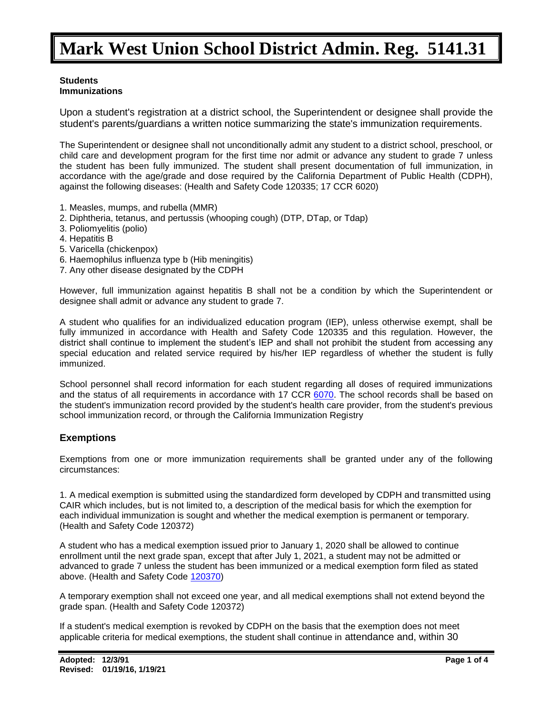#### **Students Immunizations**

Upon a student's registration at a district school, the Superintendent or designee shall provide the student's parents/guardians a written notice summarizing the state's immunization requirements.

The Superintendent or designee shall not unconditionally admit any student to a district school, preschool, or child care and development program for the first time nor admit or advance any student to grade 7 unless the student has been fully immunized. The student shall present documentation of full immunization, in accordance with the age/grade and dose required by the California Department of Public Health (CDPH), against the following diseases: (Health and Safety Code 120335; 17 CCR 6020)

- 1. Measles, mumps, and rubella (MMR)
- 2. Diphtheria, tetanus, and pertussis (whooping cough) (DTP, DTap, or Tdap)
- 3. Poliomyelitis (polio)
- 4. Hepatitis B
- 5. Varicella (chickenpox)
- 6. Haemophilus influenza type b (Hib meningitis)
- 7. Any other disease designated by the CDPH

However, full immunization against hepatitis B shall not be a condition by which the Superintendent or designee shall admit or advance any student to grade 7.

A student who qualifies for an individualized education program (IEP), unless otherwise exempt, shall be fully immunized in accordance with Health and Safety Code 120335 and this regulation. However, the district shall continue to implement the student's IEP and shall not prohibit the student from accessing any special education and related service required by his/her IEP regardless of whether the student is fully immunized.

School personnel shall record information for each student regarding all doses of required immunizations and the status of all requirements in accordance with 17 CCR [6070.](http://gamutonline.net/displayPolicy/368354/5) The school records shall be based on the student's immunization record provided by the student's health care provider, from the student's previous school immunization record, or through the California Immunization Registry

### **Exemptions**

Exemptions from one or more immunization requirements shall be granted under any of the following circumstances:

1. A medical exemption is submitted using the standardized form developed by CDPH and transmitted using CAIR which includes, but is not limited to, a description of the medical basis for which the exemption for each individual immunization is sought and whether the medical exemption is permanent or temporary. (Health and Safety Code 120372)

A student who has a medical exemption issued prior to January 1, 2020 shall be allowed to continue enrollment until the next grade span, except that after July 1, 2021, a student may not be admitted or advanced to grade 7 unless the student has been immunized or a medical exemption form filed as stated above. (Health and Safety Code [120370\)](http://gamutonline.net/displayPolicy/149804/5)

A temporary exemption shall not exceed one year, and all medical exemptions shall not extend beyond the grade span. (Health and Safety Code 120372)

If a student's medical exemption is revoked by CDPH on the basis that the exemption does not meet applicable criteria for medical exemptions, the student shall continue in attendance and, within 30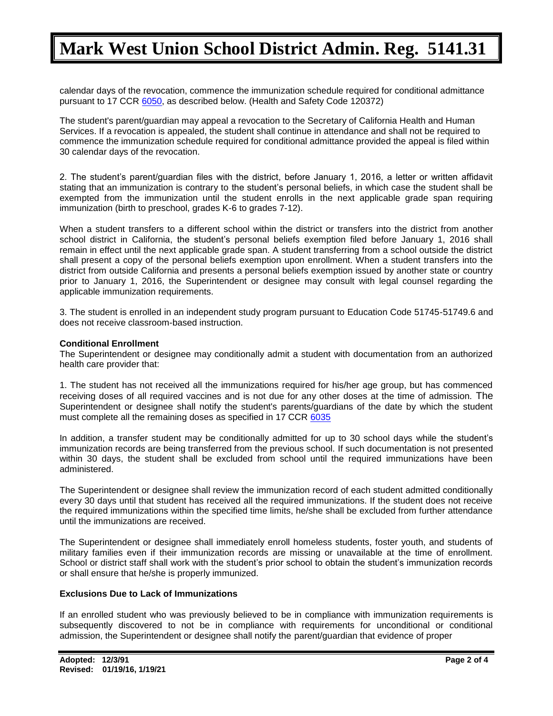calendar days of the revocation, commence the immunization schedule required for conditional admittance pursuant to 17 CCR [6050,](http://gamutonline.net/displayPolicy/368349/5) as described below. (Health and Safety Code 120372)

The student's parent/guardian may appeal a revocation to the Secretary of California Health and Human Services. If a revocation is appealed, the student shall continue in attendance and shall not be required to commence the immunization schedule required for conditional admittance provided the appeal is filed within 30 calendar days of the revocation.

2. The student's parent/guardian files with the district, before January 1, 2016, a letter or written affidavit stating that an immunization is contrary to the student's personal beliefs, in which case the student shall be exempted from the immunization until the student enrolls in the next applicable grade span requiring immunization (birth to preschool, grades K-6 to grades 7-12).

When a student transfers to a different school within the district or transfers into the district from another school district in California, the student's personal beliefs exemption filed before January 1, 2016 shall remain in effect until the next applicable grade span. A student transferring from a school outside the district shall present a copy of the personal beliefs exemption upon enrollment. When a student transfers into the district from outside California and presents a personal beliefs exemption issued by another state or country prior to January 1, 2016, the Superintendent or designee may consult with legal counsel regarding the applicable immunization requirements.

3. The student is enrolled in an independent study program pursuant to Education Code 51745-51749.6 and does not receive classroom-based instruction.

#### **Conditional Enrollment**

The Superintendent or designee may conditionally admit a student with documentation from an authorized health care provider that:

1. The student has not received all the immunizations required for his/her age group, but has commenced receiving doses of all required vaccines and is not due for any other doses at the time of admission. The Superintendent or designee shall notify the student's parents/guardians of the date by which the student must complete all the remaining doses as specified in 17 CCR [6035](http://gamutonline.net/displayPolicy/368366/5)

In addition, a transfer student may be conditionally admitted for up to 30 school days while the student's immunization records are being transferred from the previous school. If such documentation is not presented within 30 days, the student shall be excluded from school until the required immunizations have been administered.

The Superintendent or designee shall review the immunization record of each student admitted conditionally every 30 days until that student has received all the required immunizations. If the student does not receive the required immunizations within the specified time limits, he/she shall be excluded from further attendance until the immunizations are received.

The Superintendent or designee shall immediately enroll homeless students, foster youth, and students of military families even if their immunization records are missing or unavailable at the time of enrollment. School or district staff shall work with the student's prior school to obtain the student's immunization records or shall ensure that he/she is properly immunized.

#### **Exclusions Due to Lack of Immunizations**

If an enrolled student who was previously believed to be in compliance with immunization requirements is subsequently discovered to not be in compliance with requirements for unconditional or conditional admission, the Superintendent or designee shall notify the parent/guardian that evidence of proper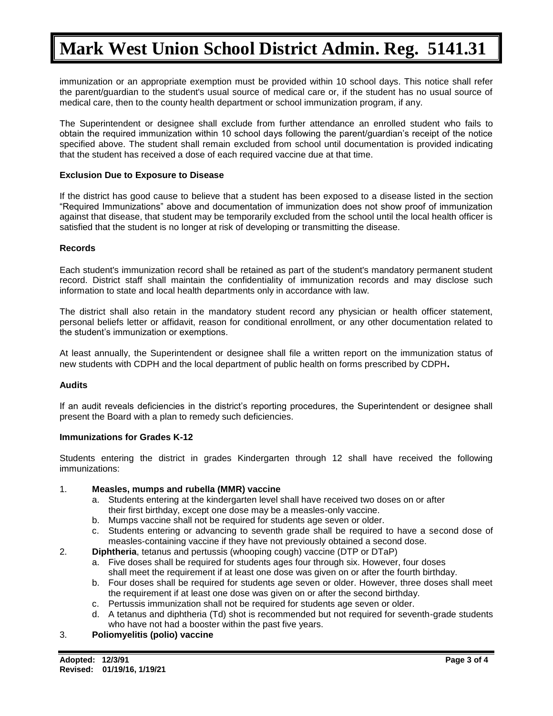immunization or an appropriate exemption must be provided within 10 school days. This notice shall refer the parent/guardian to the student's usual source of medical care or, if the student has no usual source of medical care, then to the county health department or school immunization program, if any.

The Superintendent or designee shall exclude from further attendance an enrolled student who fails to obtain the required immunization within 10 school days following the parent/guardian's receipt of the notice specified above. The student shall remain excluded from school until documentation is provided indicating that the student has received a dose of each required vaccine due at that time.

#### **Exclusion Due to Exposure to Disease**

If the district has good cause to believe that a student has been exposed to a disease listed in the section "Required Immunizations" above and documentation of immunization does not show proof of immunization against that disease, that student may be temporarily excluded from the school until the local health officer is satisfied that the student is no longer at risk of developing or transmitting the disease.

#### **Records**

Each student's immunization record shall be retained as part of the student's mandatory permanent student record. District staff shall maintain the confidentiality of immunization records and may disclose such information to state and local health departments only in accordance with law.

The district shall also retain in the mandatory student record any physician or health officer statement, personal beliefs letter or affidavit, reason for conditional enrollment, or any other documentation related to the student's immunization or exemptions.

At least annually, the Superintendent or designee shall file a written report on the immunization status of new students with CDPH and the local department of public health on forms prescribed by CDPH**.**

#### **Audits**

If an audit reveals deficiencies in the district's reporting procedures, the Superintendent or designee shall present the Board with a plan to remedy such deficiencies.

#### **Immunizations for Grades K-12**

Students entering the district in grades Kindergarten through 12 shall have received the following immunizations:

#### 1. **Measles, mumps and rubella (MMR) vaccine**

- a. Students entering at the kindergarten level shall have received two doses on or after their first birthday, except one dose may be a measles-only vaccine.
- b. Mumps vaccine shall not be required for students age seven or older.
- c. Students entering or advancing to seventh grade shall be required to have a second dose of measles-containing vaccine if they have not previously obtained a second dose.
- 2. **Diphtheria**, tetanus and pertussis (whooping cough) vaccine (DTP or DTaP)
	- a. Five doses shall be required for students ages four through six. However, four doses shall meet the requirement if at least one dose was given on or after the fourth birthday.
	- b. Four doses shall be required for students age seven or older. However, three doses shall meet the requirement if at least one dose was given on or after the second birthday.
	- c. Pertussis immunization shall not be required for students age seven or older.
	- d. A tetanus and diphtheria (Td) shot is recommended but not required for seventh-grade students who have not had a booster within the past five years.

#### 3. **Poliomyelitis (polio) vaccine**